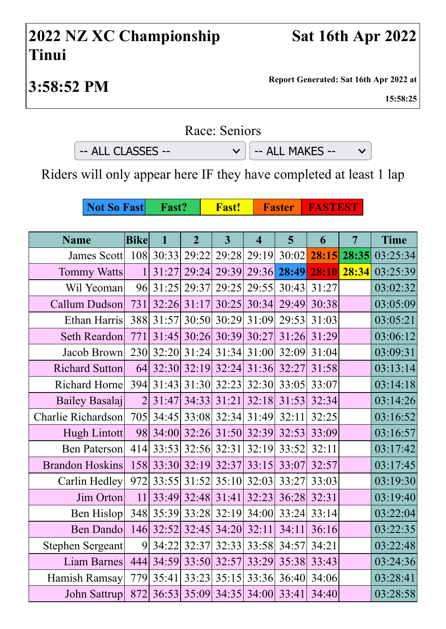## **2022 NZ XC Championship Tinui**

 $\checkmark$ 

**3:58:52 PM Report Generated: Sat 16th Apr 2022 at**

**15:58:25**

## Race: Seniors

 $-$  ALL CLASSES  $\vee$   $\Big|$   $-$  ALL MAKES  $-$ 

Riders will only appear here IF they have completed at least 1 lap

**Not So Fast** Fast? Fast! Faster FASTEST

| <b>Name</b>             | <b>Bike</b>    | $\mathbf{1}$ | $\overline{2}$    | $\overline{3}$ | $\overline{\mathbf{4}}$     | 5           | 6     | $\overline{7}$ | <b>Time</b>      |
|-------------------------|----------------|--------------|-------------------|----------------|-----------------------------|-------------|-------|----------------|------------------|
| James Scott             |                | 108 30:33    | 29:22             |                | 29:28 29:19                 | 30:02       | 28:15 |                | $28:35$ 03:25:34 |
| <b>Tommy Watts</b>      | 1              | 31:27        | 29:24             | 29:39          |                             | 29:36 28:49 | 28:10 | 28:34          | 03:25:39         |
| Wil Yeoman              |                | 96 31:25     | 29:37             |                | 29:25 29:55                 | 30:43       | 31:27 |                | 03:02:32         |
| Callum Dudson           | 731            | 32:26        | 31:17             | 30:25          | 30:34                       | 29:49       | 30:38 |                | 03:05:09         |
| Ethan Harris            |                | 388 31:57    |                   |                | 30:50 30:29 31:09           | 29:53       | 31:03 |                | 03:05:21         |
| Seth Reardon            | 771            | 31:45        |                   |                | 30:26 30:39 30:27           | 31:26       | 31:29 |                | 03:06:12         |
| Jacob Brown             | 230            | 32:20        | 31:24             | 31:34          | 31:00                       | 32:09       | 31:04 |                | 03:09:31         |
| <b>Richard Sutton</b>   | 64             |              | 32:30 32:19 32:24 |                | 31:36                       | 32:27       | 31:58 |                | 03:13:14         |
| Richard Horne           | 394            | 31:43        |                   | 31:30 32:23    | 32:30                       | 33:05       | 33:07 |                | 03:14:18         |
| <b>Bailey Basalaj</b>   | $\overline{2}$ | 31:47        | 34:33             | 31:21          | 32:18                       | 31:53       | 32:34 |                | 03:14:26         |
| Charlie Richardson      | 705            |              |                   |                | 34:45 33:08 32:34 31:49     | 32:11       | 32:25 |                | 03:16:52         |
| Hugh Lintott            | 98             | 34:00        | 32:26             | 31:50          | 32:39                       | 32:53       | 33:09 |                | 03:16:57         |
| Ben Paterson            | 414            |              | 33:53 32:56 32:31 |                | 32:19                       | 33:52       | 32:11 |                | 03:17:42         |
| <b>Brandon Hoskins</b>  | 158            |              | 33:30 32:19       | 32:37          | 33:15                       | 33:07       | 32:57 |                | 03:17:45         |
| Carlin Hedley           | 972            | 33:55        | 31:52             | 35:10          | 32:03                       | 33:27       | 33:03 |                | 03:19:30         |
| Jim Orton               | 11             |              | 33:49 32:48 31:41 |                | 32:23                       | 36:28       | 32:31 |                | 03:19:40         |
| Ben Hislop              |                |              |                   |                | 348 35:39 33:28 32:19 34:00 | 33:24       | 33:14 |                | 03:22:04         |
| <b>Ben Dando</b>        | 146            | 32:52        | 32:45             | 34:20          | 32:11                       | 34:11       | 36:16 |                | 03:22:35         |
| <b>Stephen Sergeant</b> | 9              | 34:22        | 32:37             | 32:33          | 33:58                       | 34:57       | 34:21 |                | 03:22:48         |
| Liam Barnes             | 444            | 34:59        | 33:50             | 32:57          | 33:29                       | 35:38       | 33:43 |                | 03:24:36         |
| Hamish Ramsay           | 779            | 35:41        | 33:23             | 35:15          | 33:36                       | 36:40       | 34:06 |                | 03:28:41         |
| John Sattrup            | 872            |              |                   |                | 36:53 35:09 34:35 34:00     | 33:41       | 34:40 |                | 03:28:58         |